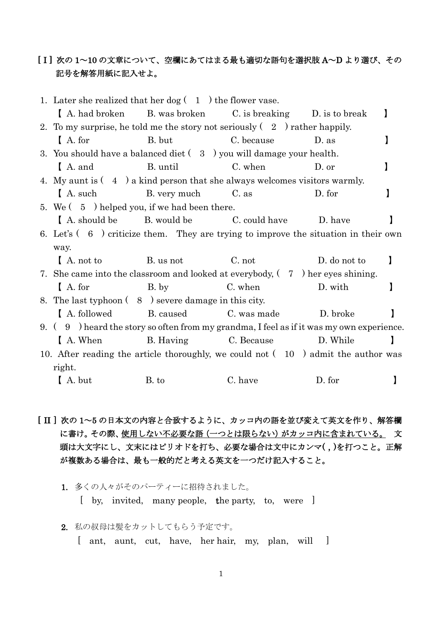# [ I ] 次の 1~10 の文章について、空欄にあてはまる最も適切な語句を選択肢 A~D より選び、その 記号を解答用紙に記入せよ。

|                                                                                    | 1. Later she realized that her dog $(1)$ the flower vase.                                  |                    |                                             |              |   |
|------------------------------------------------------------------------------------|--------------------------------------------------------------------------------------------|--------------------|---------------------------------------------|--------------|---|
|                                                                                    | A. had broken                                                                              |                    | B. was broken C. is breaking D. is to break |              |   |
|                                                                                    | 2. To my surprise, he told me the story not seriously $(2)$ rather happily.                |                    |                                             |              |   |
|                                                                                    | $A$ . for                                                                                  | B. but             | C. because                                  | D. as        |   |
|                                                                                    | 3. You should have a balanced diet $(3)$ you will damage your health.                      |                    |                                             |              |   |
|                                                                                    | A. and                                                                                     | B. until           | C. when                                     | D. or        |   |
|                                                                                    | 4. My aunt is $(4)$ a kind person that she always welcomes visitors warmly.                |                    |                                             |              |   |
|                                                                                    | I A. such                                                                                  | B. very much C. as |                                             | D. for       |   |
|                                                                                    | 5. We $(5)$ helped you, if we had been there.                                              |                    |                                             |              |   |
|                                                                                    | A. should be B. would be C. could have                                                     |                    |                                             | D. have      |   |
|                                                                                    | 6. Let's $(6 \cdot)$ criticize them. They are trying to improve the situation in their own |                    |                                             |              |   |
|                                                                                    | way.                                                                                       |                    |                                             |              |   |
|                                                                                    | $A$ , not to                                                                               | B. us not          | C. not                                      | D. do not to |   |
|                                                                                    | 7. She came into the classroom and looked at everybody, $(7)$ her eyes shining.            |                    |                                             |              |   |
|                                                                                    | $A$ . for                                                                                  | B. by              | C. when                                     | D. with      |   |
|                                                                                    | 8. The last typhoon (8) severe damage in this city.                                        |                    |                                             |              |   |
|                                                                                    | A. followed                                                                                | B. caused          | C. was made                                 | D. broke     |   |
|                                                                                    | 9. $(9)$ heard the story so often from my grandma, I feel as if it was my own experience.  |                    |                                             |              |   |
|                                                                                    | A. When                                                                                    | B. Having          | C. Because                                  | D. While     | 1 |
| 10. After reading the article thoroughly, we could not $(10)$ admit the author was |                                                                                            |                    |                                             |              |   |
| right.                                                                             |                                                                                            |                    |                                             |              |   |
|                                                                                    | A. but                                                                                     | B. to              | C. have                                     | D. for       |   |

[ II ] 次の 1~5 の日本文の内容と合致するように、カッコ内の語を並び変えて英文を作り、解答欄 に書け。その際、使用しない不必要な語(一つとは限らない)がカッコ内に含まれている。 文 頭は大文字にし、文末にはピリオドを打ち、必要な場合は文中にカンマ(,)を打つこと。正解 が複数ある場合は、最も一般的だと考える英文を一つだけ記入すること。

- 1. 多くの人々がそのパーティーに招待されました。
	- [ by, invited, many people, the party, to, were ]
- 2. 私の叔母は髪をカットしてもらう予定です。
	- [ ant, aunt, cut, have, her hair, my, plan, will ]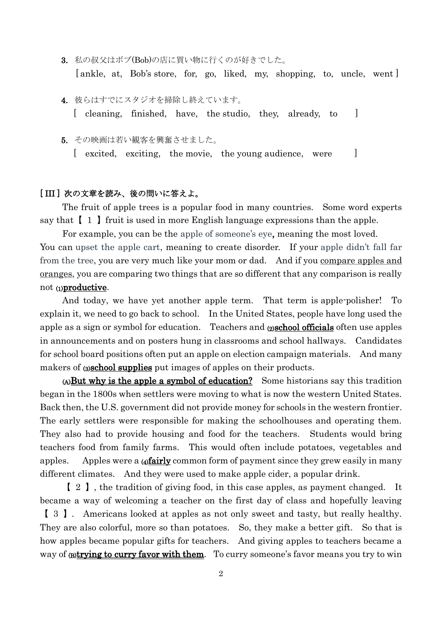- 3. 私の叔父はボブ(Bob)の店に買い物に行くのが好きでした。 [ankle, at, Bob's store, for, go, liked, my, shopping, to, uncle, went]
- 4. 彼らはすでにスタジオを掃除し終えています。 [ cleaning, finished, have, the studio, they, already, to ]
- 5. その映画は若い観客を興奮させました。
	- [ excited, exciting, the movie, the young audience, were ]

#### [ III ] 次の文章を読み、後の問いに答えよ。

The fruit of apple trees is a popular food in many countries. Some word experts say that  $\begin{bmatrix} 1 \end{bmatrix}$  fruit is used in more English language expressions than the apple.

For example, you can be the apple of someone's eye, meaning the most loved. You can upset the apple cart, meaning to create disorder. If your apple didn't fall far from the tree, you are very much like your mom or dad. And if you compare apples and oranges, you are comparing two things that are so different that any comparison is really not (1)productive.

And today, we have yet another apple term. That term is apple-polisher! To explain it, we need to go back to school. In the United States, people have long used the apple as a sign or symbol for education. Teachers and  $\omega$  **school officials** often use apples in announcements and on posters hung in classrooms and school hallways. Candidates for school board positions often put an apple on election campaign materials. And many makers of (3)school supplies put images of apples on their products.

 $(A)$ But why is the apple a symbol of education? Some [historians](https://www.thirteen.org/wnet/frontierhouse/frontierlife/essay10_2.html;) say this tradition began in the 1800s when settlers were moving to what is now the western United States. Back then, the U.S. government did not provide money for schools in the western frontier. The early settlers were responsible for making the schoolhouses and operating them. They also had to provide housing and food for the teachers. Students would bring teachers food from family farms. This would often include potatoes, vegetables and apples. Apples were a (4)fairly common form of payment since they grew easily in many different climates. And they were used to make apple cider, a popular drink.

【 2 】, the tradition of giving food, in this case apples, as payment changed. It became a way of welcoming a teacher on the first day of class and hopefully leaving 【 3 】. Americans looked at apples as not only sweet and tasty, but really healthy. They are also colorful, more so than potatoes. So, they make a better gift. So that is how apples became popular gifts for teachers. And giving apples to teachers became a way of (B)trying to curry favor with them. To curry someone's favor means you try to win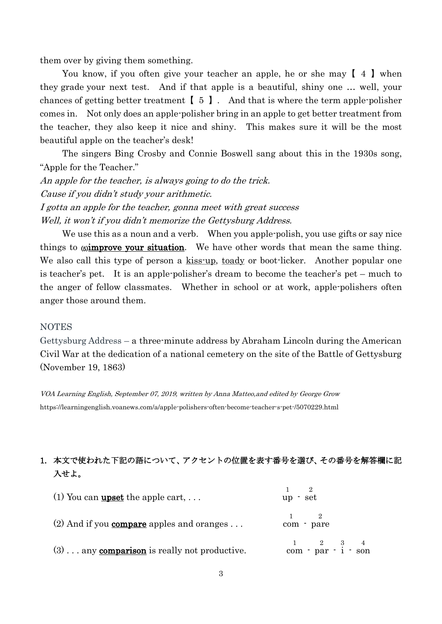them over by giving them something.

You know, if you often give your teacher an apple, he or she may  $[4]$  when they grade your next test. And if that apple is a beautiful, shiny one … well, your chances of getting better treatment【 5 】. And that is where the term apple-polisher comes in. Not only does an apple-polisher bring in an apple to get better treatment from the teacher, they also keep it nice and shiny. This makes sure it will be the most beautiful apple on the teacher's desk!

The singers Bing Crosby and Connie Boswell sang about this in the 1930s song, "Apple for the Teacher."

An apple for the teacher, is always going to do the trick. Cause if you didn't study your arithmetic. I gotta an apple for the teacher, gonna meet with great success Well, it won't if you didn't memorize the Gettysburg Address.

We use this as a noun and a verb. When you apple-polish, you use gifts or say nice things to  $\sin$ **prove your situation**. We have other words that mean the same thing. We also call this type of person a kiss-up, toady or boot-licker. Another popular one is teacher's pet. It is an apple-polisher's dream to become the teacher's pet – much to the anger of fellow classmates. Whether in school or at work, apple-polishers often anger those around them.

#### **NOTES**

Gettysburg Address – a three-minute address by Abraham Lincoln during the American Civil War at the dedication of a national cemetery on the site of the Battle of Gettysburg (November 19, 1863)

VOA Learning English, September 07, 2019, written by Anna Matteo,and edited by George Grow <https://learningenglish.voanews.com/a/apple-polishers-often-become-teacher-s-pet-/5070229.html>

### 1. 本文で使われた下記の語について、アクセントの位置を表す番号を選び、その番号を解答欄に記 入せよ。

| (1) You can <b>upset</b> the apple cart, $\dots$      | $\Omega$<br>up - set                                                                            |
|-------------------------------------------------------|-------------------------------------------------------------------------------------------------|
| (2) And if you <b>compare</b> apples and oranges      | com - pare                                                                                      |
| $(3)$ any <b>comparison</b> is really not productive. | $\frac{1}{\text{com}}$ - $\frac{2}{\text{par}}$ - $\frac{3}{\text{i}}$ - $\frac{4}{\text{son}}$ |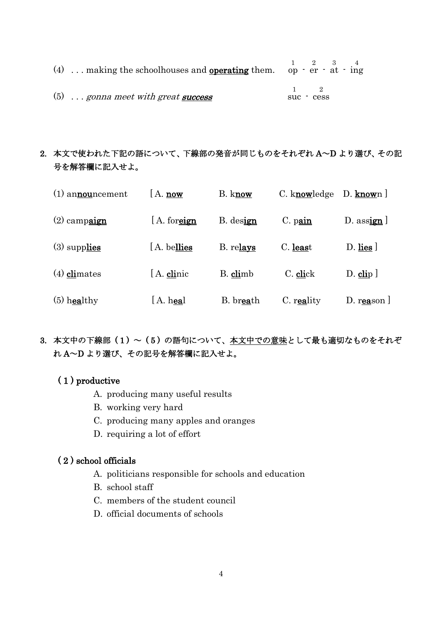| (4)  making the school houses and <b>operating</b> them. op $\cdot$ er $\cdot$ at $\cdot$ ing |          | $1 \t2 \t3 \t4$ |  |
|-----------------------------------------------------------------------------------------------|----------|-----------------|--|
| $(5)$ gonna meet with great success                                                           | suc cess |                 |  |

# 2. 本文で使われた下記の語について、下線部の発音が同じものをそれぞれ A~D より選び、その記 号を解答欄に記入せよ。

| $(1)$ announcement | $A.$ now     | B. know   | C. knowledge | $D.$ known $\vert$  |
|--------------------|--------------|-----------|--------------|---------------------|
| $(2)$ campaign     | [A. foreign] | B. design | $C.$ pain    | $D.$ assign $\vert$ |
| $(3)$ supplies     | [A. bellies] | B. relays | C. least     | $D.$ lies $\vert$   |
| $(4)$ climates     | [A. clinic   | B. climb  | C. click     | $D.$ clip $\vert$   |
| $(5)$ healthy      | A. heal      | B. breath | C. reality   | D. reason $\vert$   |

3. 本文中の下線部 (1) ~ (5) の語句について、本文中での意味として最も適切なものをそれぞ れ A~D より選び、その記号を解答欄に記入せよ。

### ( 1 ) productive

- A. producing many useful results
- B. working very hard
- C. producing many apples and oranges
- D. requiring a lot of effort

### ( 2 ) school officials

- A. politicians responsible for schools and education
- B. school staff
- C. members of the student council
- D. official documents of schools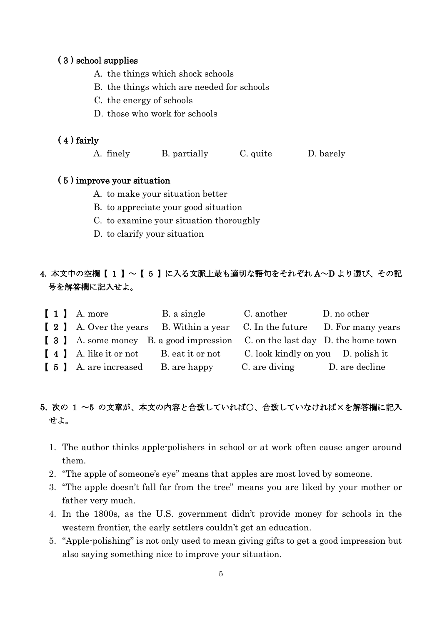#### ( 3 ) school supplies

- A. the things which shock schools
- B. the things which are needed for schools
- C. the energy of schools
- D. those who work for schools

### ( 4 ) fairly

A. finely B. partially C. quite D. barely

#### ( 5 ) improve your situation

- A. to make your situation better
- B. to appreciate your good situation
- C. to examine your situation thoroughly
- D. to clarify your situation

# 4. 本文中の空欄【 1 】~【 5 】に入る文脈上最も適切な語句をそれぞれ A~D より選び、その記 号を解答欄に記入せよ。

| $\begin{bmatrix} 1 \end{bmatrix}$ A. more | B. a single                                                                  | C. another                         | D. no other    |
|-------------------------------------------|------------------------------------------------------------------------------|------------------------------------|----------------|
|                                           | [2] A. Over the years B. Within a year C. In the future D. For many years    |                                    |                |
|                                           | [ 3 ] A. some money B. a good impression C. on the last day D. the home town |                                    |                |
| [4] A. like it or not                     | B. eat it or not                                                             | C. look kindly on you D. polish it |                |
| [ 5 ] A. are increased B. are happy       |                                                                              | C. are diving                      | D. are decline |

# 5. 次の 1 ~5 の文章が、本文の内容と合致していれば○、合致していなければ×を解答欄に記入 せよ。

- 1. The author thinks apple-polishers in school or at work often cause anger around them.
- 2. "The apple of someone's eye" means that apples are most loved by someone.
- 3. "The apple doesn't fall far from the tree" means you are liked by your mother or father very much.
- 4. In the 1800s, as the U.S. government didn't provide money for schools in the western frontier, the early settlers couldn't get an education.
- 5. "Apple-polishing" is not only used to mean giving gifts to get a good impression but also saying something nice to improve your situation.